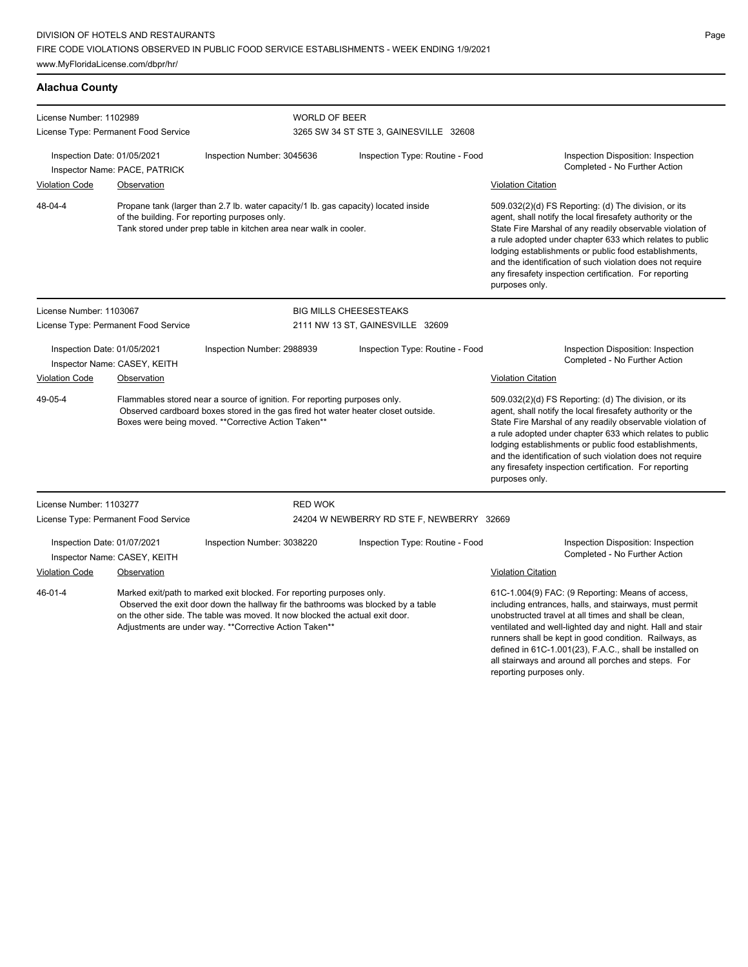### **Alachua County**

| License Number: 1102989                                                                                                                                                                                                          |                                      | <b>WORLD OF BEER</b>                                                                                                                                                                                                                                                                                |                                           |                                                                                                                                                                                                                                                                                                                                                                                                                                              |  |
|----------------------------------------------------------------------------------------------------------------------------------------------------------------------------------------------------------------------------------|--------------------------------------|-----------------------------------------------------------------------------------------------------------------------------------------------------------------------------------------------------------------------------------------------------------------------------------------------------|-------------------------------------------|----------------------------------------------------------------------------------------------------------------------------------------------------------------------------------------------------------------------------------------------------------------------------------------------------------------------------------------------------------------------------------------------------------------------------------------------|--|
|                                                                                                                                                                                                                                  | License Type: Permanent Food Service |                                                                                                                                                                                                                                                                                                     | 3265 SW 34 ST STE 3, GAINESVILLE 32608    |                                                                                                                                                                                                                                                                                                                                                                                                                                              |  |
| Inspection Date: 01/05/2021                                                                                                                                                                                                      | Inspector Name: PACE, PATRICK        | Inspection Number: 3045636                                                                                                                                                                                                                                                                          | Inspection Type: Routine - Food           | Inspection Disposition: Inspection<br>Completed - No Further Action                                                                                                                                                                                                                                                                                                                                                                          |  |
| <b>Violation Code</b>                                                                                                                                                                                                            | Observation                          |                                                                                                                                                                                                                                                                                                     |                                           | <b>Violation Citation</b>                                                                                                                                                                                                                                                                                                                                                                                                                    |  |
| 48-04-4<br>Propane tank (larger than 2.7 lb. water capacity/1 lb. gas capacity) located inside<br>of the building. For reporting purposes only.<br>Tank stored under prep table in kitchen area near walk in cooler.             |                                      |                                                                                                                                                                                                                                                                                                     |                                           | 509.032(2)(d) FS Reporting: (d) The division, or its<br>agent, shall notify the local firesafety authority or the<br>State Fire Marshal of any readily observable violation of<br>a rule adopted under chapter 633 which relates to public<br>lodging establishments or public food establishments,<br>and the identification of such violation does not require<br>any firesafety inspection certification. For reporting<br>purposes only. |  |
| License Number: 1103067                                                                                                                                                                                                          |                                      |                                                                                                                                                                                                                                                                                                     | <b>BIG MILLS CHEESESTEAKS</b>             |                                                                                                                                                                                                                                                                                                                                                                                                                                              |  |
|                                                                                                                                                                                                                                  | License Type: Permanent Food Service |                                                                                                                                                                                                                                                                                                     | 2111 NW 13 ST, GAINESVILLE 32609          |                                                                                                                                                                                                                                                                                                                                                                                                                                              |  |
| Inspection Date: 01/05/2021<br>Inspector Name: CASEY, KEITH                                                                                                                                                                      |                                      | Inspection Number: 2988939                                                                                                                                                                                                                                                                          | Inspection Type: Routine - Food           | Inspection Disposition: Inspection<br>Completed - No Further Action                                                                                                                                                                                                                                                                                                                                                                          |  |
| <b>Violation Code</b>                                                                                                                                                                                                            | Observation                          |                                                                                                                                                                                                                                                                                                     |                                           | <b>Violation Citation</b>                                                                                                                                                                                                                                                                                                                                                                                                                    |  |
| 49-05-4<br>Flammables stored near a source of ignition. For reporting purposes only.<br>Observed cardboard boxes stored in the gas fired hot water heater closet outside.<br>Boxes were being moved. **Corrective Action Taken** |                                      |                                                                                                                                                                                                                                                                                                     |                                           | 509.032(2)(d) FS Reporting: (d) The division, or its<br>agent, shall notify the local firesafety authority or the<br>State Fire Marshal of any readily observable violation of<br>a rule adopted under chapter 633 which relates to public<br>lodging establishments or public food establishments,<br>and the identification of such violation does not require<br>any firesafety inspection certification. For reporting<br>purposes only. |  |
| License Number: 1103277                                                                                                                                                                                                          |                                      | <b>RED WOK</b>                                                                                                                                                                                                                                                                                      |                                           |                                                                                                                                                                                                                                                                                                                                                                                                                                              |  |
|                                                                                                                                                                                                                                  | License Type: Permanent Food Service |                                                                                                                                                                                                                                                                                                     | 24204 W NEWBERRY RD STE F, NEWBERRY 32669 |                                                                                                                                                                                                                                                                                                                                                                                                                                              |  |
| Inspection Date: 01/07/2021<br>Inspector Name: CASEY, KEITH                                                                                                                                                                      |                                      | Inspection Number: 3038220                                                                                                                                                                                                                                                                          | Inspection Type: Routine - Food           | Inspection Disposition: Inspection<br>Completed - No Further Action                                                                                                                                                                                                                                                                                                                                                                          |  |
| <b>Violation Code</b>                                                                                                                                                                                                            | Observation                          |                                                                                                                                                                                                                                                                                                     |                                           | <b>Violation Citation</b>                                                                                                                                                                                                                                                                                                                                                                                                                    |  |
| $46 - 01 - 4$                                                                                                                                                                                                                    |                                      | Marked exit/path to marked exit blocked. For reporting purposes only.<br>Observed the exit door down the hallway fir the bathrooms was blocked by a table<br>on the other side. The table was moved, It now blocked the actual exit door.<br>Adjustments are under way. **Corrective Action Taken** |                                           | 61C-1.004(9) FAC: (9 Reporting: Means of access,<br>including entrances, halls, and stairways, must permit<br>unobstructed travel at all times and shall be clean,<br>ventilated and well-lighted day and night. Hall and stair<br>runners shall be kept in good condition. Railways, as<br>defined in 61C-1.001(23), F.A.C., shall be installed on                                                                                          |  |

all stairways and around all porches and steps. For

reporting purposes only.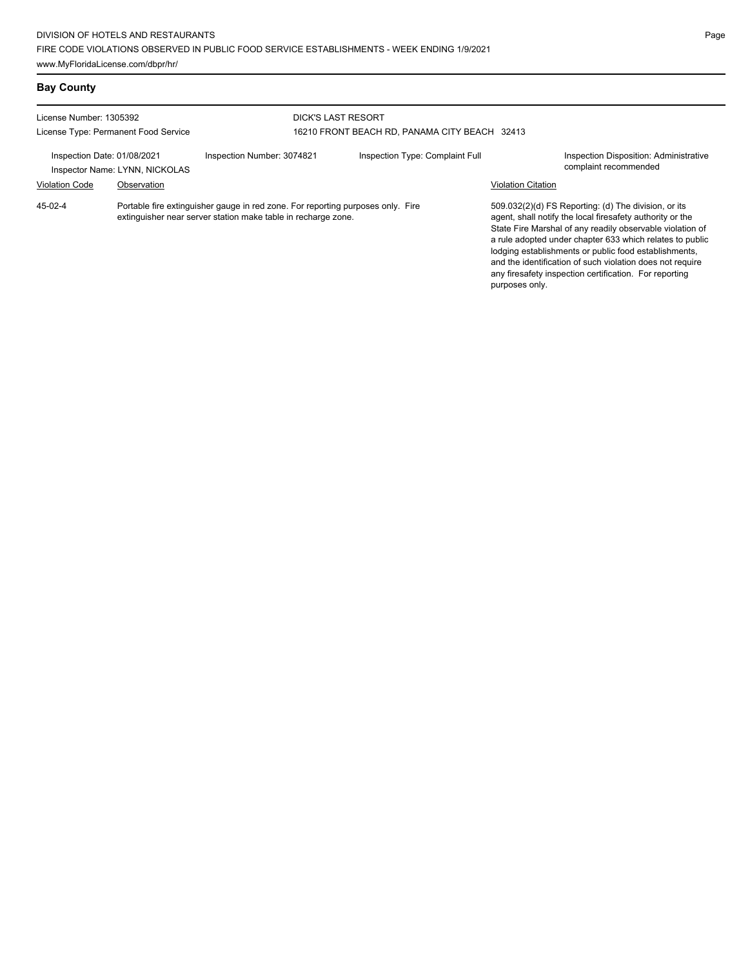## **Bay County**

| License Number: 1305392<br>License Type: Permanent Food Service |             |                                                                                                                                                  | <b>DICK'S LAST RESORT</b><br>16210 FRONT BEACH RD. PANAMA CITY BEACH 32413 |                           |                                                                                                                                                                                                                                                                                                                                                                  |  |  |
|-----------------------------------------------------------------|-------------|--------------------------------------------------------------------------------------------------------------------------------------------------|----------------------------------------------------------------------------|---------------------------|------------------------------------------------------------------------------------------------------------------------------------------------------------------------------------------------------------------------------------------------------------------------------------------------------------------------------------------------------------------|--|--|
| Inspection Date: 01/08/2021<br>Inspector Name: LYNN, NICKOLAS   |             | Inspection Number: 3074821                                                                                                                       | Inspection Type: Complaint Full                                            |                           | Inspection Disposition: Administrative<br>complaint recommended                                                                                                                                                                                                                                                                                                  |  |  |
| <b>Violation Code</b>                                           | Observation |                                                                                                                                                  |                                                                            | <b>Violation Citation</b> |                                                                                                                                                                                                                                                                                                                                                                  |  |  |
| 45-02-4                                                         |             | Portable fire extinguisher gauge in red zone. For reporting purposes only. Fire<br>extinguisher near server station make table in recharge zone. |                                                                            |                           | 509.032(2)(d) FS Reporting: (d) The division, or its<br>agent, shall notify the local firesafety authority or the<br>State Fire Marshal of any readily observable violation of<br>a rule adopted under chapter 633 which relates to public<br>lodging establishments or public food establishments,<br>and the identification of such violation does not require |  |  |

any firesafety inspection certification. For reporting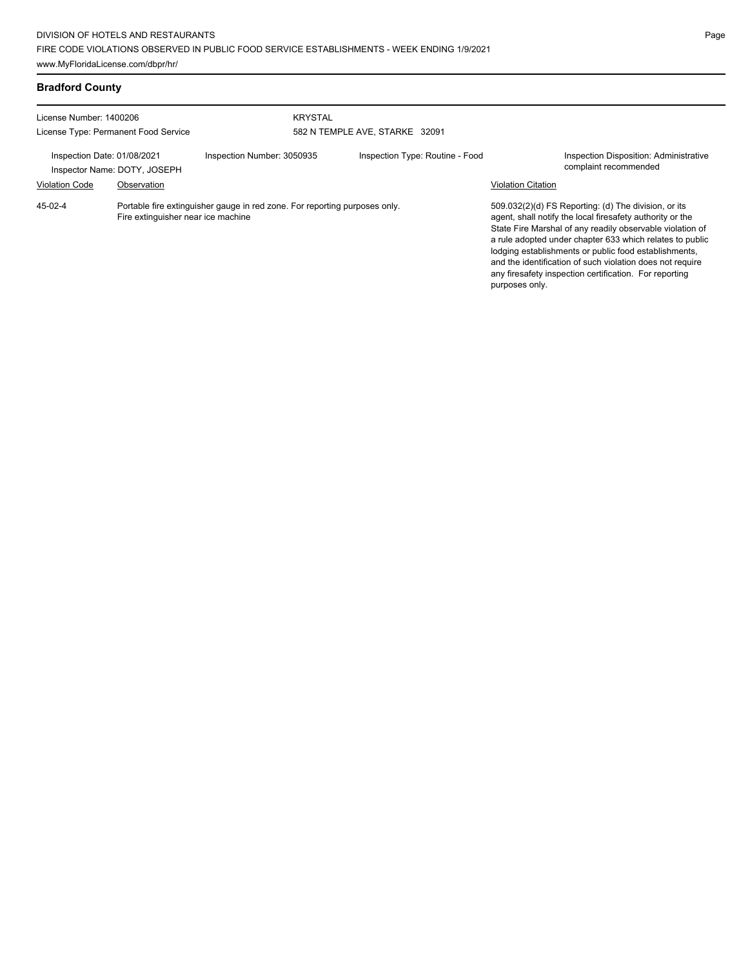### **Bradford County**

| License Number: 1400206<br>License Type: Permanent Food Service |                                                                                                                  | <b>KRYSTAL</b><br>582 N TEMPLE AVE, STARKE 32091 |  |                                 |                           |                                                                                                                                                                                                                                                                                                                                                                                                                            |
|-----------------------------------------------------------------|------------------------------------------------------------------------------------------------------------------|--------------------------------------------------|--|---------------------------------|---------------------------|----------------------------------------------------------------------------------------------------------------------------------------------------------------------------------------------------------------------------------------------------------------------------------------------------------------------------------------------------------------------------------------------------------------------------|
| Inspection Date: 01/08/2021                                     | Inspector Name: DOTY, JOSEPH                                                                                     | Inspection Number: 3050935                       |  | Inspection Type: Routine - Food |                           | <b>Inspection Disposition: Administrative</b><br>complaint recommended                                                                                                                                                                                                                                                                                                                                                     |
| <b>Violation Code</b>                                           | Observation                                                                                                      |                                                  |  |                                 | <b>Violation Citation</b> |                                                                                                                                                                                                                                                                                                                                                                                                                            |
| 45-02-4                                                         | Portable fire extinguisher gauge in red zone. For reporting purposes only.<br>Fire extinguisher near ice machine |                                                  |  |                                 |                           | 509.032(2)(d) FS Reporting: (d) The division, or its<br>agent, shall notify the local firesafety authority or the<br>State Fire Marshal of any readily observable violation of<br>a rule adopted under chapter 633 which relates to public<br>lodging establishments or public food establishments,<br>and the identification of such violation does not require<br>any firesafety inspection certification. For reporting |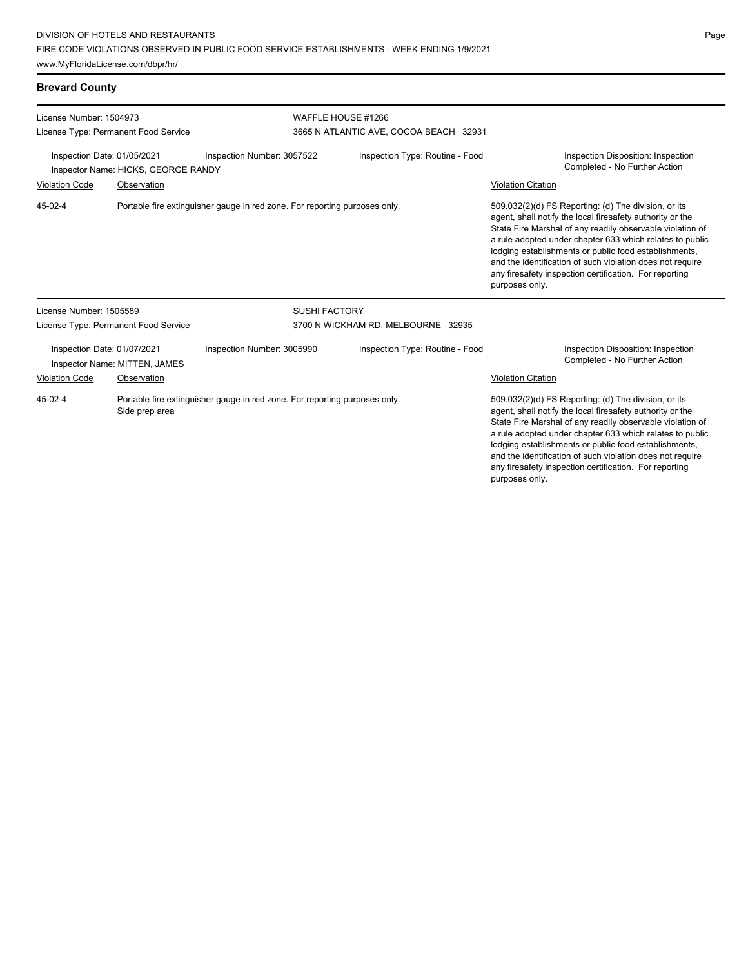# **Brevard County**

| License Number: 1504973                                                                                       |                                                              |                                                                            | WAFFLE HOUSE #1266                     |                                                                                                                                                                                                                                                                                                                                                                                                                                              |  |  |  |
|---------------------------------------------------------------------------------------------------------------|--------------------------------------------------------------|----------------------------------------------------------------------------|----------------------------------------|----------------------------------------------------------------------------------------------------------------------------------------------------------------------------------------------------------------------------------------------------------------------------------------------------------------------------------------------------------------------------------------------------------------------------------------------|--|--|--|
|                                                                                                               | License Type: Permanent Food Service                         |                                                                            | 3665 N ATLANTIC AVE, COCOA BEACH 32931 |                                                                                                                                                                                                                                                                                                                                                                                                                                              |  |  |  |
| Inspection Date: 01/05/2021<br>Inspector Name: HICKS, GEORGE RANDY                                            |                                                              | Inspection Number: 3057522                                                 | Inspection Type: Routine - Food        | Inspection Disposition: Inspection<br>Completed - No Further Action                                                                                                                                                                                                                                                                                                                                                                          |  |  |  |
| <b>Violation Code</b>                                                                                         | Observation                                                  |                                                                            |                                        | <b>Violation Citation</b>                                                                                                                                                                                                                                                                                                                                                                                                                    |  |  |  |
| 45-02-4                                                                                                       |                                                              | Portable fire extinguisher gauge in red zone. For reporting purposes only. |                                        | 509.032(2)(d) FS Reporting: (d) The division, or its<br>agent, shall notify the local firesafety authority or the<br>State Fire Marshal of any readily observable violation of<br>a rule adopted under chapter 633 which relates to public<br>lodging establishments or public food establishments,<br>and the identification of such violation does not require<br>any firesafety inspection certification. For reporting<br>purposes only. |  |  |  |
| License Number: 1505589                                                                                       |                                                              | <b>SUSHI FACTORY</b>                                                       |                                        |                                                                                                                                                                                                                                                                                                                                                                                                                                              |  |  |  |
|                                                                                                               | License Type: Permanent Food Service                         |                                                                            | 3700 N WICKHAM RD, MELBOURNE 32935     |                                                                                                                                                                                                                                                                                                                                                                                                                                              |  |  |  |
|                                                                                                               | Inspection Date: 01/07/2021<br>Inspector Name: MITTEN, JAMES | Inspection Number: 3005990                                                 | Inspection Type: Routine - Food        | Inspection Disposition: Inspection<br>Completed - No Further Action                                                                                                                                                                                                                                                                                                                                                                          |  |  |  |
| Violation Code                                                                                                | Observation                                                  |                                                                            |                                        | <b>Violation Citation</b>                                                                                                                                                                                                                                                                                                                                                                                                                    |  |  |  |
| $45 - 02 - 4$<br>Portable fire extinguisher gauge in red zone. For reporting purposes only.<br>Side prep area |                                                              |                                                                            |                                        | 509.032(2)(d) FS Reporting: (d) The division, or its<br>agent, shall notify the local firesafety authority or the<br>State Fire Marshal of any readily observable violation of<br>a rule adopted under chapter 633 which relates to public<br>lodging establishments or public food establishments,<br>and the identification of such violation does not require<br>any firesafety inspection certification. For reporting                   |  |  |  |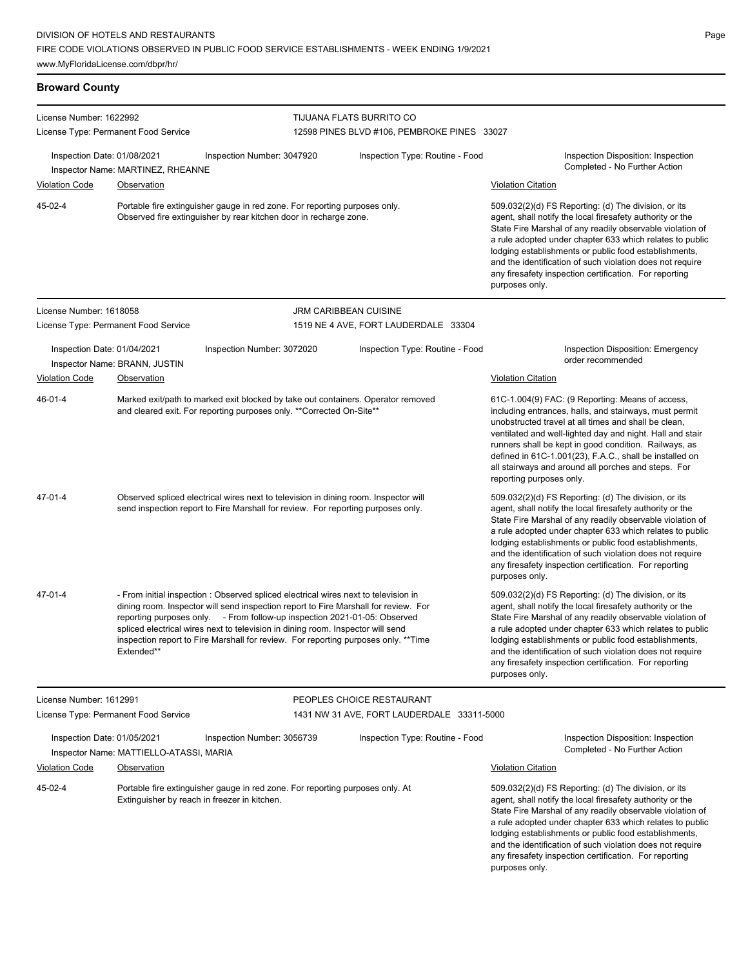### **Broward County**

| License Number: 1622992 |                                                                        |                                                                                                                                                                                                                                                                                                                                                                                                                                  | <b>TIJUANA FLATS BURRITO CO</b>                                                                                                                                                                                                                                                                                                                                                                                                              |                                                                                                                                                                                                                                                                                                                                                                                                                                              |  |  |  |
|-------------------------|------------------------------------------------------------------------|----------------------------------------------------------------------------------------------------------------------------------------------------------------------------------------------------------------------------------------------------------------------------------------------------------------------------------------------------------------------------------------------------------------------------------|----------------------------------------------------------------------------------------------------------------------------------------------------------------------------------------------------------------------------------------------------------------------------------------------------------------------------------------------------------------------------------------------------------------------------------------------|----------------------------------------------------------------------------------------------------------------------------------------------------------------------------------------------------------------------------------------------------------------------------------------------------------------------------------------------------------------------------------------------------------------------------------------------|--|--|--|
|                         | License Type: Permanent Food Service                                   |                                                                                                                                                                                                                                                                                                                                                                                                                                  | 12598 PINES BLVD #106, PEMBROKE PINES 33027                                                                                                                                                                                                                                                                                                                                                                                                  |                                                                                                                                                                                                                                                                                                                                                                                                                                              |  |  |  |
|                         | Inspection Date: 01/08/2021<br>Inspector Name: MARTINEZ, RHEANNE       | Inspection Number: 3047920                                                                                                                                                                                                                                                                                                                                                                                                       | Inspection Type: Routine - Food                                                                                                                                                                                                                                                                                                                                                                                                              | Inspection Disposition: Inspection<br>Completed - No Further Action                                                                                                                                                                                                                                                                                                                                                                          |  |  |  |
| <b>Violation Code</b>   | <b>Observation</b>                                                     |                                                                                                                                                                                                                                                                                                                                                                                                                                  |                                                                                                                                                                                                                                                                                                                                                                                                                                              | <b>Violation Citation</b>                                                                                                                                                                                                                                                                                                                                                                                                                    |  |  |  |
| 45-02-4                 |                                                                        | Portable fire extinguisher gauge in red zone. For reporting purposes only.<br>Observed fire extinguisher by rear kitchen door in recharge zone.                                                                                                                                                                                                                                                                                  | 509.032(2)(d) FS Reporting: (d) The division, or its<br>agent, shall notify the local firesafety authority or the<br>State Fire Marshal of any readily observable violation of<br>a rule adopted under chapter 633 which relates to public<br>lodging establishments or public food establishments,<br>and the identification of such violation does not require<br>any firesafety inspection certification. For reporting<br>purposes only. |                                                                                                                                                                                                                                                                                                                                                                                                                                              |  |  |  |
| License Number: 1618058 |                                                                        | <b>JRM CARIBBEAN CUISINE</b>                                                                                                                                                                                                                                                                                                                                                                                                     |                                                                                                                                                                                                                                                                                                                                                                                                                                              |                                                                                                                                                                                                                                                                                                                                                                                                                                              |  |  |  |
|                         | License Type: Permanent Food Service                                   |                                                                                                                                                                                                                                                                                                                                                                                                                                  | 1519 NE 4 AVE, FORT LAUDERDALE 33304                                                                                                                                                                                                                                                                                                                                                                                                         |                                                                                                                                                                                                                                                                                                                                                                                                                                              |  |  |  |
|                         | Inspection Date: 01/04/2021<br>Inspector Name: BRANN, JUSTIN           | Inspection Number: 3072020                                                                                                                                                                                                                                                                                                                                                                                                       | Inspection Type: Routine - Food                                                                                                                                                                                                                                                                                                                                                                                                              | Inspection Disposition: Emergency<br>order recommended                                                                                                                                                                                                                                                                                                                                                                                       |  |  |  |
| <b>Violation Code</b>   | Observation                                                            |                                                                                                                                                                                                                                                                                                                                                                                                                                  |                                                                                                                                                                                                                                                                                                                                                                                                                                              | <b>Violation Citation</b>                                                                                                                                                                                                                                                                                                                                                                                                                    |  |  |  |
| 46-01-4                 |                                                                        | Marked exit/path to marked exit blocked by take out containers. Operator removed<br>and cleared exit. For reporting purposes only. ** Corrected On-Site**                                                                                                                                                                                                                                                                        |                                                                                                                                                                                                                                                                                                                                                                                                                                              | 61C-1.004(9) FAC: (9 Reporting: Means of access,<br>including entrances, halls, and stairways, must permit<br>unobstructed travel at all times and shall be clean,<br>ventilated and well-lighted day and night. Hall and stair<br>runners shall be kept in good condition. Railways, as<br>defined in 61C-1.001(23), F.A.C., shall be installed on<br>all stairways and around all porches and steps. For<br>reporting purposes only.       |  |  |  |
| 47-01-4                 |                                                                        | Observed spliced electrical wires next to television in dining room. Inspector will<br>send inspection report to Fire Marshall for review. For reporting purposes only.                                                                                                                                                                                                                                                          |                                                                                                                                                                                                                                                                                                                                                                                                                                              | 509.032(2)(d) FS Reporting: (d) The division, or its<br>agent, shall notify the local firesafety authority or the<br>State Fire Marshal of any readily observable violation of<br>a rule adopted under chapter 633 which relates to public<br>lodging establishments or public food establishments,<br>and the identification of such violation does not require<br>any firesafety inspection certification. For reporting<br>purposes only. |  |  |  |
| 47-01-4                 | Extended**                                                             | - From initial inspection : Observed spliced electrical wires next to television in<br>dining room. Inspector will send inspection report to Fire Marshall for review. For<br>reporting purposes only. - From follow-up inspection 2021-01-05: Observed<br>spliced electrical wires next to television in dining room. Inspector will send<br>inspection report to Fire Marshall for review. For reporting purposes only. **Time |                                                                                                                                                                                                                                                                                                                                                                                                                                              | 509.032(2)(d) FS Reporting: (d) The division, or its<br>agent, shall notify the local firesafety authority or the<br>State Fire Marshal of any readily observable violation of<br>a rule adopted under chapter 633 which relates to public<br>lodging establishments or public food establishments,<br>and the identification of such violation does not require<br>any firesafety inspection certification. For reporting<br>purposes only. |  |  |  |
| License Number: 1612991 |                                                                        |                                                                                                                                                                                                                                                                                                                                                                                                                                  | PEOPLES CHOICE RESTAURANT                                                                                                                                                                                                                                                                                                                                                                                                                    |                                                                                                                                                                                                                                                                                                                                                                                                                                              |  |  |  |
|                         | License Type: Permanent Food Service                                   |                                                                                                                                                                                                                                                                                                                                                                                                                                  | 1431 NW 31 AVE, FORT LAUDERDALE 33311-5000                                                                                                                                                                                                                                                                                                                                                                                                   |                                                                                                                                                                                                                                                                                                                                                                                                                                              |  |  |  |
|                         | Inspection Date: 01/05/2021<br>Inspector Name: MATTIELLO-ATASSI, MARIA | Inspection Number: 3056739                                                                                                                                                                                                                                                                                                                                                                                                       | Inspection Type: Routine - Food                                                                                                                                                                                                                                                                                                                                                                                                              | Inspection Disposition: Inspection<br>Completed - No Further Action                                                                                                                                                                                                                                                                                                                                                                          |  |  |  |
| <b>Violation Code</b>   | Observation                                                            |                                                                                                                                                                                                                                                                                                                                                                                                                                  |                                                                                                                                                                                                                                                                                                                                                                                                                                              | <b>Violation Citation</b>                                                                                                                                                                                                                                                                                                                                                                                                                    |  |  |  |
| 45-02-4                 | Extinguisher by reach in freezer in kitchen.                           | Portable fire extinguisher gauge in red zone. For reporting purposes only. At                                                                                                                                                                                                                                                                                                                                                    |                                                                                                                                                                                                                                                                                                                                                                                                                                              | 509.032(2)(d) FS Reporting: (d) The division, or its<br>agent, shall notify the local firesafety authority or the<br>State Fire Marshal of any readily observable violation of<br>a rule adopted under chapter 633 which relates to public<br>lodging establishments or public food establishments,<br>and the identification of such violation does not require                                                                             |  |  |  |

any firesafety inspection certification. For reporting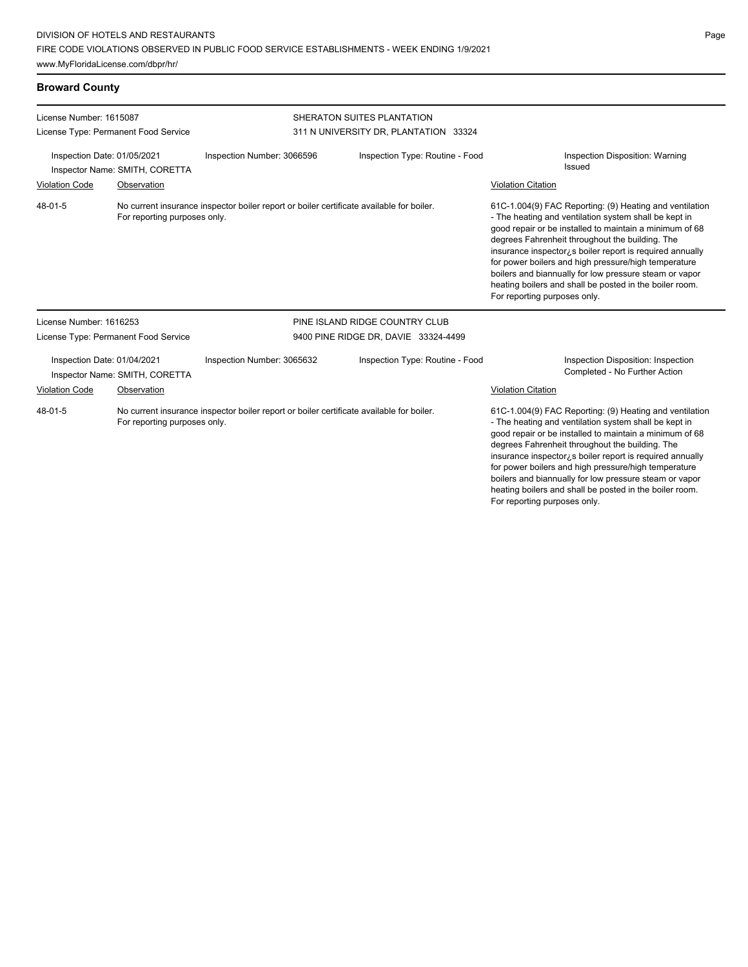### **Broward County**

| License Number: 1615087                 |                                      |                                                                                          | SHERATON SUITES PLANTATION            |                                                                                                                                                                                                                                                                                                                                                                                                                                                                                                          |  |  |
|-----------------------------------------|--------------------------------------|------------------------------------------------------------------------------------------|---------------------------------------|----------------------------------------------------------------------------------------------------------------------------------------------------------------------------------------------------------------------------------------------------------------------------------------------------------------------------------------------------------------------------------------------------------------------------------------------------------------------------------------------------------|--|--|
|                                         | License Type: Permanent Food Service |                                                                                          | 311 N UNIVERSITY DR, PLANTATION 33324 |                                                                                                                                                                                                                                                                                                                                                                                                                                                                                                          |  |  |
| Inspection Date: 01/05/2021             | Inspector Name: SMITH, CORETTA       | Inspection Number: 3066596                                                               | Inspection Type: Routine - Food       | Inspection Disposition: Warning<br>Issued                                                                                                                                                                                                                                                                                                                                                                                                                                                                |  |  |
| <b>Violation Code</b>                   | Observation                          |                                                                                          |                                       | <b>Violation Citation</b>                                                                                                                                                                                                                                                                                                                                                                                                                                                                                |  |  |
| $48 - 01 - 5$                           | For reporting purposes only.         | No current insurance inspector boiler report or boiler certificate available for boiler. |                                       | 61C-1.004(9) FAC Reporting: (9) Heating and ventilation<br>- The heating and ventilation system shall be kept in<br>good repair or be installed to maintain a minimum of 68<br>degrees Fahrenheit throughout the building. The<br>insurance inspector, s boiler report is required annually<br>for power boilers and high pressure/high temperature<br>boilers and biannually for low pressure steam or vapor<br>heating boilers and shall be posted in the boiler room.<br>For reporting purposes only. |  |  |
| License Number: 1616253                 |                                      |                                                                                          | PINE ISLAND RIDGE COUNTRY CLUB        |                                                                                                                                                                                                                                                                                                                                                                                                                                                                                                          |  |  |
|                                         | License Type: Permanent Food Service |                                                                                          | 9400 PINE RIDGE DR, DAVIE 33324-4499  |                                                                                                                                                                                                                                                                                                                                                                                                                                                                                                          |  |  |
| Inspection Date: 01/04/2021             | Inspector Name: SMITH, CORETTA       | Inspection Number: 3065632                                                               | Inspection Type: Routine - Food       | Inspection Disposition: Inspection<br>Completed - No Further Action                                                                                                                                                                                                                                                                                                                                                                                                                                      |  |  |
| Violation Code                          | Observation                          |                                                                                          |                                       | Violation Citation                                                                                                                                                                                                                                                                                                                                                                                                                                                                                       |  |  |
| 48-01-5<br>For reporting purposes only. |                                      | No current insurance inspector boiler report or boiler certificate available for boiler. |                                       | 61C-1.004(9) FAC Reporting: (9) Heating and ventilation<br>- The heating and ventilation system shall be kept in<br>good repair or be installed to maintain a minimum of 68<br>degrees Fahrenheit throughout the building. The<br>insurance inspector; s boiler report is required annually<br>for power boilers and high pressure/high temperature<br>boilers and biannually for low pressure steam or vapor<br>heating boilers and shall be posted in the boiler room.                                 |  |  |

For reporting purposes only.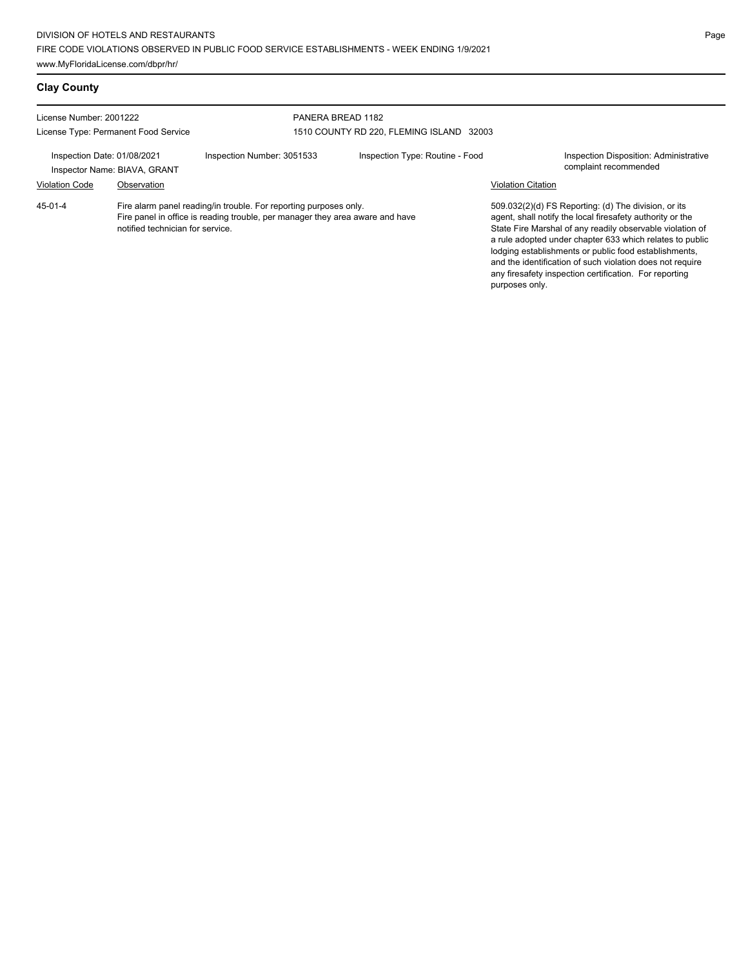# **Clay County**

| License Number: 2001222                                     |                                  |                                                                                                                                                    | PANERA BREAD 1182                        |                           |                                                                                                                                                                                                                                                                                                                                                                                                                            |  |  |
|-------------------------------------------------------------|----------------------------------|----------------------------------------------------------------------------------------------------------------------------------------------------|------------------------------------------|---------------------------|----------------------------------------------------------------------------------------------------------------------------------------------------------------------------------------------------------------------------------------------------------------------------------------------------------------------------------------------------------------------------------------------------------------------------|--|--|
| License Type: Permanent Food Service                        |                                  |                                                                                                                                                    | 1510 COUNTY RD 220, FLEMING ISLAND 32003 |                           |                                                                                                                                                                                                                                                                                                                                                                                                                            |  |  |
| Inspection Date: 01/08/2021<br>Inspector Name: BIAVA, GRANT |                                  | Inspection Number: 3051533                                                                                                                         | Inspection Type: Routine - Food          |                           | Inspection Disposition: Administrative<br>complaint recommended                                                                                                                                                                                                                                                                                                                                                            |  |  |
| <b>Violation Code</b>                                       | Observation                      |                                                                                                                                                    |                                          | <b>Violation Citation</b> |                                                                                                                                                                                                                                                                                                                                                                                                                            |  |  |
| 45-01-4                                                     | notified technician for service. | Fire alarm panel reading/in trouble. For reporting purposes only.<br>Fire panel in office is reading trouble, per manager they area aware and have |                                          |                           | 509.032(2)(d) FS Reporting: (d) The division, or its<br>agent, shall notify the local firesafety authority or the<br>State Fire Marshal of any readily observable violation of<br>a rule adopted under chapter 633 which relates to public<br>lodging establishments or public food establishments,<br>and the identification of such violation does not require<br>any firesafety inspection certification. For reporting |  |  |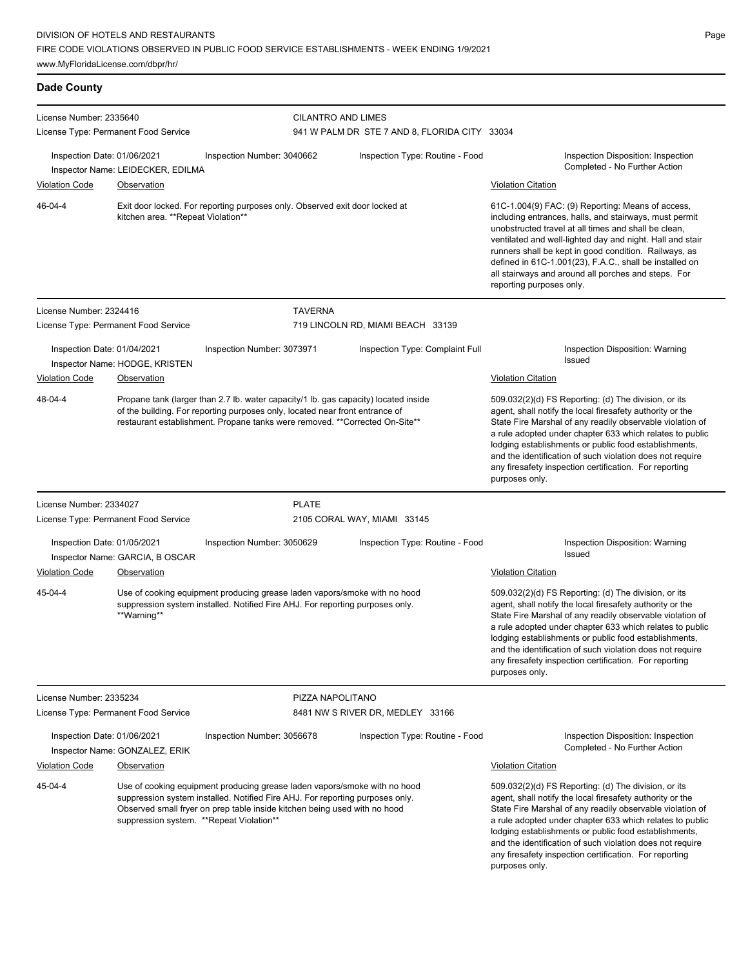FIRE CODE VIOLATIONS OBSERVED IN PUBLIC FOOD SERVICE ESTABLISHMENTS - WEEK ENDING 1/9/2021

www.MyFloridaLicense.com/dbpr/hr/

### **Dade County**

| License Number: 2335640                                       |                                                         |                                                                                                                                                                                                                                                                                     | <b>CILANTRO AND LIMES</b>        |                                               |                                                                                                                                                                                                                                                                                                                                                                                                                                              |  |  |
|---------------------------------------------------------------|---------------------------------------------------------|-------------------------------------------------------------------------------------------------------------------------------------------------------------------------------------------------------------------------------------------------------------------------------------|----------------------------------|-----------------------------------------------|----------------------------------------------------------------------------------------------------------------------------------------------------------------------------------------------------------------------------------------------------------------------------------------------------------------------------------------------------------------------------------------------------------------------------------------------|--|--|
|                                                               | License Type: Permanent Food Service                    |                                                                                                                                                                                                                                                                                     |                                  | 941 W PALM DR STE 7 AND 8, FLORIDA CITY 33034 |                                                                                                                                                                                                                                                                                                                                                                                                                                              |  |  |
| Inspection Date: 01/06/2021<br><b>Violation Code</b>          | Inspector Name: LEIDECKER, EDILMA<br><b>Observation</b> | Inspection Number: 3040662                                                                                                                                                                                                                                                          |                                  | Inspection Type: Routine - Food               | Inspection Disposition: Inspection<br>Completed - No Further Action<br><b>Violation Citation</b>                                                                                                                                                                                                                                                                                                                                             |  |  |
| 46-04-4                                                       | kitchen area. **Repeat Violation**                      | Exit door locked. For reporting purposes only. Observed exit door locked at                                                                                                                                                                                                         |                                  |                                               | 61C-1.004(9) FAC: (9) Reporting: Means of access,<br>including entrances, halls, and stairways, must permit<br>unobstructed travel at all times and shall be clean,<br>ventilated and well-lighted day and night. Hall and stair<br>runners shall be kept in good condition. Railways, as<br>defined in 61C-1.001(23), F.A.C., shall be installed on<br>all stairways and around all porches and steps. For<br>reporting purposes only.      |  |  |
| License Number: 2324416                                       |                                                         |                                                                                                                                                                                                                                                                                     | <b>TAVERNA</b>                   |                                               |                                                                                                                                                                                                                                                                                                                                                                                                                                              |  |  |
|                                                               | License Type: Permanent Food Service                    |                                                                                                                                                                                                                                                                                     |                                  | 719 LINCOLN RD, MIAMI BEACH 33139             |                                                                                                                                                                                                                                                                                                                                                                                                                                              |  |  |
| Inspection Date: 01/04/2021<br>Violation Code                 | Inspector Name: HODGE, KRISTEN<br>Observation           | Inspection Number: 3073971                                                                                                                                                                                                                                                          |                                  | Inspection Type: Complaint Full               | Inspection Disposition: Warning<br><b>Issued</b><br><b>Violation Citation</b>                                                                                                                                                                                                                                                                                                                                                                |  |  |
| 48-04-4                                                       |                                                         | Propane tank (larger than 2.7 lb. water capacity/1 lb. gas capacity) located inside<br>of the building. For reporting purposes only, located near front entrance of<br>restaurant establishment. Propane tanks were removed. **Corrected On-Site**                                  |                                  |                                               | 509.032(2)(d) FS Reporting: (d) The division, or its<br>agent, shall notify the local firesafety authority or the<br>State Fire Marshal of any readily observable violation of<br>a rule adopted under chapter 633 which relates to public<br>lodging establishments or public food establishments,<br>and the identification of such violation does not require<br>any firesafety inspection certification. For reporting<br>purposes only. |  |  |
| License Number: 2334027                                       |                                                         |                                                                                                                                                                                                                                                                                     | <b>PLATE</b>                     |                                               |                                                                                                                                                                                                                                                                                                                                                                                                                                              |  |  |
| License Type: Permanent Food Service                          |                                                         |                                                                                                                                                                                                                                                                                     | 2105 CORAL WAY, MIAMI 33145      |                                               |                                                                                                                                                                                                                                                                                                                                                                                                                                              |  |  |
| Inspection Date: 01/05/2021                                   | Inspector Name: GARCIA, B OSCAR                         | Inspection Number: 3050629                                                                                                                                                                                                                                                          | Inspection Type: Routine - Food  |                                               | Inspection Disposition: Warning<br><b>Issued</b>                                                                                                                                                                                                                                                                                                                                                                                             |  |  |
| <b>Violation Code</b>                                         | Observation                                             |                                                                                                                                                                                                                                                                                     |                                  |                                               | <b>Violation Citation</b>                                                                                                                                                                                                                                                                                                                                                                                                                    |  |  |
| 45-04-4                                                       | **Warning**                                             | Use of cooking equipment producing grease laden vapors/smoke with no hood<br>suppression system installed. Notified Fire AHJ. For reporting purposes only.                                                                                                                          |                                  |                                               | 509.032(2)(d) FS Reporting: (d) The division, or its<br>agent, shall notify the local firesafety authority or the<br>State Fire Marshal of any readily observable violation of<br>a rule adopted under chapter 633 which relates to public<br>lodging establishments or public food establishments,<br>and the identification of such violation does not require<br>any firesafety inspection certification. For reporting<br>purposes only. |  |  |
| License Number: 2335234                                       |                                                         |                                                                                                                                                                                                                                                                                     | PIZZA NAPOLITANO                 |                                               |                                                                                                                                                                                                                                                                                                                                                                                                                                              |  |  |
| License Type: Permanent Food Service                          |                                                         |                                                                                                                                                                                                                                                                                     | 8481 NW S RIVER DR, MEDLEY 33166 |                                               |                                                                                                                                                                                                                                                                                                                                                                                                                                              |  |  |
| Inspection Date: 01/06/2021<br>Inspector Name: GONZALEZ, ERIK |                                                         | Inspection Number: 3056678                                                                                                                                                                                                                                                          |                                  | Inspection Type: Routine - Food               | Inspection Disposition: Inspection<br>Completed - No Further Action                                                                                                                                                                                                                                                                                                                                                                          |  |  |
| <b>Violation Code</b>                                         | Observation                                             |                                                                                                                                                                                                                                                                                     |                                  |                                               | <b>Violation Citation</b>                                                                                                                                                                                                                                                                                                                                                                                                                    |  |  |
| 45-04-4                                                       |                                                         | Use of cooking equipment producing grease laden vapors/smoke with no hood<br>suppression system installed. Notified Fire AHJ. For reporting purposes only.<br>Observed small fryer on prep table inside kitchen being used with no hood<br>suppression system. **Repeat Violation** |                                  |                                               | 509.032(2)(d) FS Reporting: (d) The division, or its<br>agent, shall notify the local firesafety authority or the<br>State Fire Marshal of any readily observable violation of<br>a rule adopted under chapter 633 which relates to public<br>lodging establishments or public food establishments,<br>and the identification of such violation does not require<br>any firesafety inspection certification. For reporting<br>purposes only. |  |  |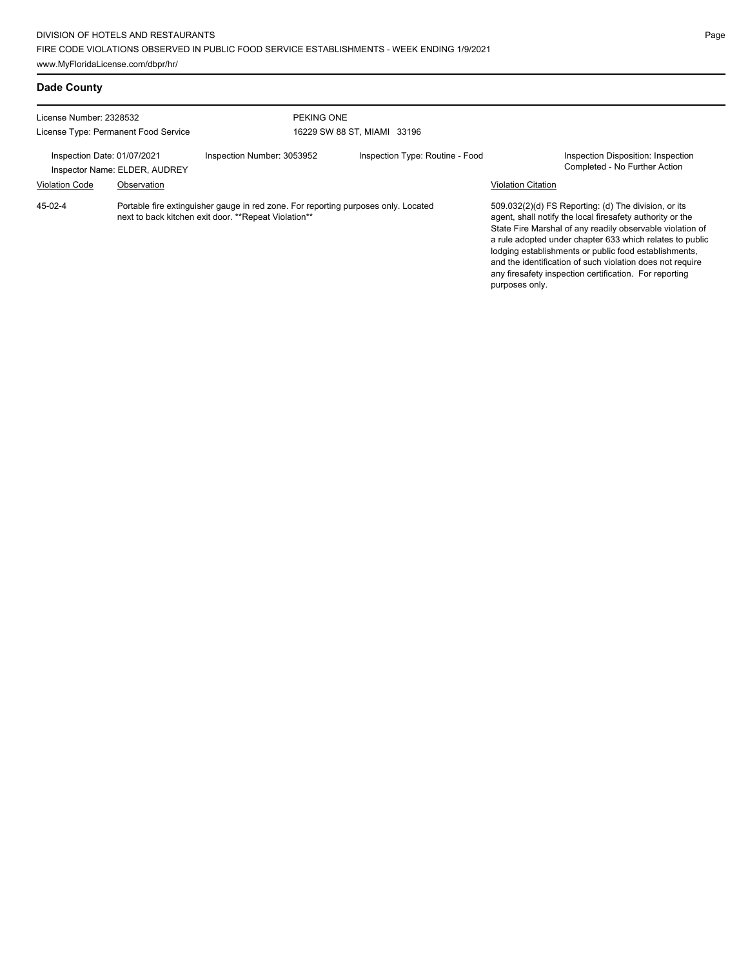## **Dade County**

| License Number: 2328532<br>License Type: Permanent Food Service |                                                                                                                                             | PEKING ONE<br>16229 SW 88 ST, MIAMI 33196 |  |                                 |                           |                                                                                                                                                                                                                                                                                                                                                                                                                            |
|-----------------------------------------------------------------|---------------------------------------------------------------------------------------------------------------------------------------------|-------------------------------------------|--|---------------------------------|---------------------------|----------------------------------------------------------------------------------------------------------------------------------------------------------------------------------------------------------------------------------------------------------------------------------------------------------------------------------------------------------------------------------------------------------------------------|
| Inspection Date: 01/07/2021                                     | Inspector Name: ELDER, AUDREY                                                                                                               | Inspection Number: 3053952                |  | Inspection Type: Routine - Food |                           | Inspection Disposition: Inspection<br>Completed - No Further Action                                                                                                                                                                                                                                                                                                                                                        |
| <b>Violation Code</b>                                           | Observation                                                                                                                                 |                                           |  |                                 | <b>Violation Citation</b> |                                                                                                                                                                                                                                                                                                                                                                                                                            |
| 45-02-4                                                         | Portable fire extinguisher gauge in red zone. For reporting purposes only. Located<br>next to back kitchen exit door. ** Repeat Violation** |                                           |  |                                 |                           | 509.032(2)(d) FS Reporting: (d) The division, or its<br>agent, shall notify the local firesafety authority or the<br>State Fire Marshal of any readily observable violation of<br>a rule adopted under chapter 633 which relates to public<br>lodging establishments or public food establishments,<br>and the identification of such violation does not require<br>any firesafety inspection certification. For reporting |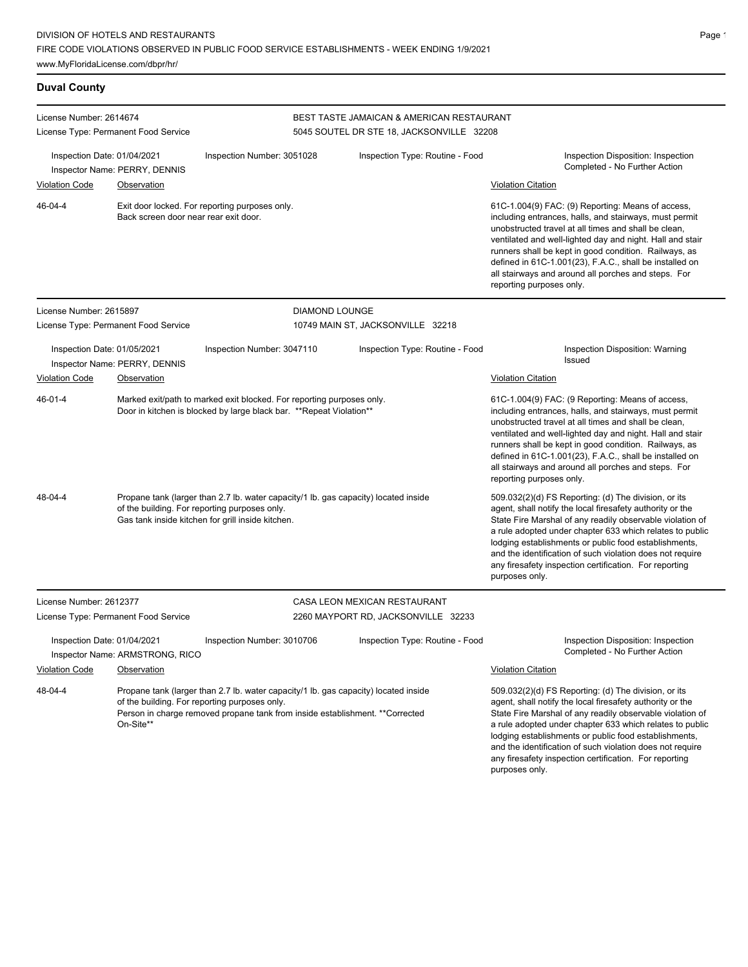### **Duval County**

| License Number: 2614674<br>License Type: Permanent Food Service                                                                                                                                                                                                                      |                                                                                                                                                                                           |                            | BEST TASTE JAMAICAN & AMERICAN RESTAURANT                                                                                                                                                                                                                                                                                                                                                                                                    |                                                                                                                                                                                                                                                                                                                                                                                                                                              |  |  |  |
|--------------------------------------------------------------------------------------------------------------------------------------------------------------------------------------------------------------------------------------------------------------------------------------|-------------------------------------------------------------------------------------------------------------------------------------------------------------------------------------------|----------------------------|----------------------------------------------------------------------------------------------------------------------------------------------------------------------------------------------------------------------------------------------------------------------------------------------------------------------------------------------------------------------------------------------------------------------------------------------|----------------------------------------------------------------------------------------------------------------------------------------------------------------------------------------------------------------------------------------------------------------------------------------------------------------------------------------------------------------------------------------------------------------------------------------------|--|--|--|
|                                                                                                                                                                                                                                                                                      |                                                                                                                                                                                           |                            | 5045 SOUTEL DR STE 18, JACKSONVILLE 32208                                                                                                                                                                                                                                                                                                                                                                                                    |                                                                                                                                                                                                                                                                                                                                                                                                                                              |  |  |  |
| Inspection Date: 01/04/2021                                                                                                                                                                                                                                                          | Inspector Name: PERRY, DENNIS                                                                                                                                                             | Inspection Number: 3051028 | Inspection Type: Routine - Food                                                                                                                                                                                                                                                                                                                                                                                                              | Inspection Disposition: Inspection<br>Completed - No Further Action                                                                                                                                                                                                                                                                                                                                                                          |  |  |  |
| <b>Violation Code</b>                                                                                                                                                                                                                                                                | Observation                                                                                                                                                                               |                            |                                                                                                                                                                                                                                                                                                                                                                                                                                              | <b>Violation Citation</b>                                                                                                                                                                                                                                                                                                                                                                                                                    |  |  |  |
| 46-04-4                                                                                                                                                                                                                                                                              | Exit door locked. For reporting purposes only.<br>Back screen door near rear exit door.                                                                                                   |                            |                                                                                                                                                                                                                                                                                                                                                                                                                                              | 61C-1.004(9) FAC: (9) Reporting: Means of access,<br>including entrances, halls, and stairways, must permit<br>unobstructed travel at all times and shall be clean,<br>ventilated and well-lighted day and night. Hall and stair<br>runners shall be kept in good condition. Railways, as<br>defined in 61C-1.001(23), F.A.C., shall be installed on<br>all stairways and around all porches and steps. For<br>reporting purposes only.      |  |  |  |
| License Number: 2615897                                                                                                                                                                                                                                                              |                                                                                                                                                                                           |                            | <b>DIAMOND LOUNGE</b>                                                                                                                                                                                                                                                                                                                                                                                                                        |                                                                                                                                                                                                                                                                                                                                                                                                                                              |  |  |  |
|                                                                                                                                                                                                                                                                                      | License Type: Permanent Food Service                                                                                                                                                      |                            | 10749 MAIN ST, JACKSONVILLE 32218                                                                                                                                                                                                                                                                                                                                                                                                            |                                                                                                                                                                                                                                                                                                                                                                                                                                              |  |  |  |
| Inspection Date: 01/05/2021<br>Inspector Name: PERRY, DENNIS                                                                                                                                                                                                                         |                                                                                                                                                                                           | Inspection Number: 3047110 | Inspection Type: Routine - Food                                                                                                                                                                                                                                                                                                                                                                                                              | Inspection Disposition: Warning<br>Issued                                                                                                                                                                                                                                                                                                                                                                                                    |  |  |  |
| <b>Violation Code</b>                                                                                                                                                                                                                                                                | Observation                                                                                                                                                                               |                            |                                                                                                                                                                                                                                                                                                                                                                                                                                              | <b>Violation Citation</b>                                                                                                                                                                                                                                                                                                                                                                                                                    |  |  |  |
| 46-01-4                                                                                                                                                                                                                                                                              | Marked exit/path to marked exit blocked. For reporting purposes only.<br>Door in kitchen is blocked by large black bar. **Repeat Violation**                                              |                            |                                                                                                                                                                                                                                                                                                                                                                                                                                              | 61C-1.004(9) FAC: (9 Reporting: Means of access,<br>including entrances, halls, and stairways, must permit<br>unobstructed travel at all times and shall be clean,<br>ventilated and well-lighted day and night. Hall and stair<br>runners shall be kept in good condition. Railways, as<br>defined in 61C-1.001(23), F.A.C., shall be installed on<br>all stairways and around all porches and steps. For<br>reporting purposes only.       |  |  |  |
| 48-04-4                                                                                                                                                                                                                                                                              | Propane tank (larger than 2.7 lb. water capacity/1 lb. gas capacity) located inside<br>of the building. For reporting purposes only.<br>Gas tank inside kitchen for grill inside kitchen. |                            |                                                                                                                                                                                                                                                                                                                                                                                                                                              | 509.032(2)(d) FS Reporting: (d) The division, or its<br>agent, shall notify the local firesafety authority or the<br>State Fire Marshal of any readily observable violation of<br>a rule adopted under chapter 633 which relates to public<br>lodging establishments or public food establishments,<br>and the identification of such violation does not require<br>any firesafety inspection certification. For reporting<br>purposes only. |  |  |  |
| License Number: 2612377                                                                                                                                                                                                                                                              |                                                                                                                                                                                           |                            | CASA LEON MEXICAN RESTAURANT                                                                                                                                                                                                                                                                                                                                                                                                                 |                                                                                                                                                                                                                                                                                                                                                                                                                                              |  |  |  |
|                                                                                                                                                                                                                                                                                      | License Type: Permanent Food Service                                                                                                                                                      |                            | 2260 MAYPORT RD, JACKSONVILLE 32233                                                                                                                                                                                                                                                                                                                                                                                                          |                                                                                                                                                                                                                                                                                                                                                                                                                                              |  |  |  |
| Inspection Date: 01/04/2021<br>Inspector Name: ARMSTRONG, RICO                                                                                                                                                                                                                       |                                                                                                                                                                                           | Inspection Number: 3010706 | Inspection Type: Routine - Food                                                                                                                                                                                                                                                                                                                                                                                                              | Inspection Disposition: Inspection<br>Completed - No Further Action<br><b>Violation Citation</b>                                                                                                                                                                                                                                                                                                                                             |  |  |  |
| <b>Violation Code</b><br>Observation<br>48-04-4<br>Propane tank (larger than 2.7 lb. water capacity/1 lb. gas capacity) located inside<br>of the building. For reporting purposes only.<br>Person in charge removed propane tank from inside establishment. **Corrected<br>On-Site** |                                                                                                                                                                                           |                            | 509.032(2)(d) FS Reporting: (d) The division, or its<br>agent, shall notify the local firesafety authority or the<br>State Fire Marshal of any readily observable violation of<br>a rule adopted under chapter 633 which relates to public<br>lodging establishments or public food establishments,<br>and the identification of such violation does not require<br>any firesafety inspection certification. For reporting<br>purposes only. |                                                                                                                                                                                                                                                                                                                                                                                                                                              |  |  |  |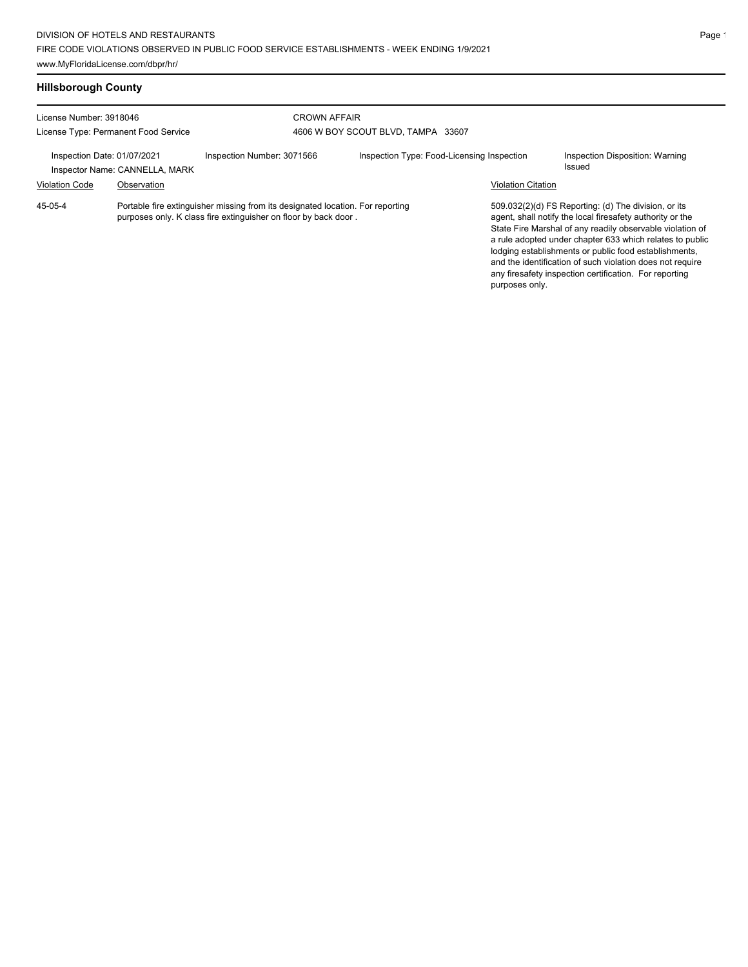## **Hillsborough County**

| License Number: 3918046<br>License Type: Permanent Food Service |                                |                                                                                                                                                   | <b>CROWN AFFAIR</b><br>4606 W BOY SCOUT BLVD, TAMPA 33607 |                           |                                                                                                                                                                                                                                                                                                                                                                                                                            |  |
|-----------------------------------------------------------------|--------------------------------|---------------------------------------------------------------------------------------------------------------------------------------------------|-----------------------------------------------------------|---------------------------|----------------------------------------------------------------------------------------------------------------------------------------------------------------------------------------------------------------------------------------------------------------------------------------------------------------------------------------------------------------------------------------------------------------------------|--|
| Inspection Date: 01/07/2021                                     | Inspector Name: CANNELLA, MARK | Inspection Number: 3071566                                                                                                                        | Inspection Type: Food-Licensing Inspection                |                           | Inspection Disposition: Warning<br>Issued                                                                                                                                                                                                                                                                                                                                                                                  |  |
| <b>Violation Code</b>                                           | Observation                    |                                                                                                                                                   |                                                           | <b>Violation Citation</b> |                                                                                                                                                                                                                                                                                                                                                                                                                            |  |
| 45-05-4                                                         |                                | Portable fire extinguisher missing from its designated location. For reporting<br>purposes only. K class fire extinguisher on floor by back door. |                                                           | purposes only.            | 509.032(2)(d) FS Reporting: (d) The division, or its<br>agent, shall notify the local firesafety authority or the<br>State Fire Marshal of any readily observable violation of<br>a rule adopted under chapter 633 which relates to public<br>lodging establishments or public food establishments,<br>and the identification of such violation does not require<br>any firesafety inspection certification. For reporting |  |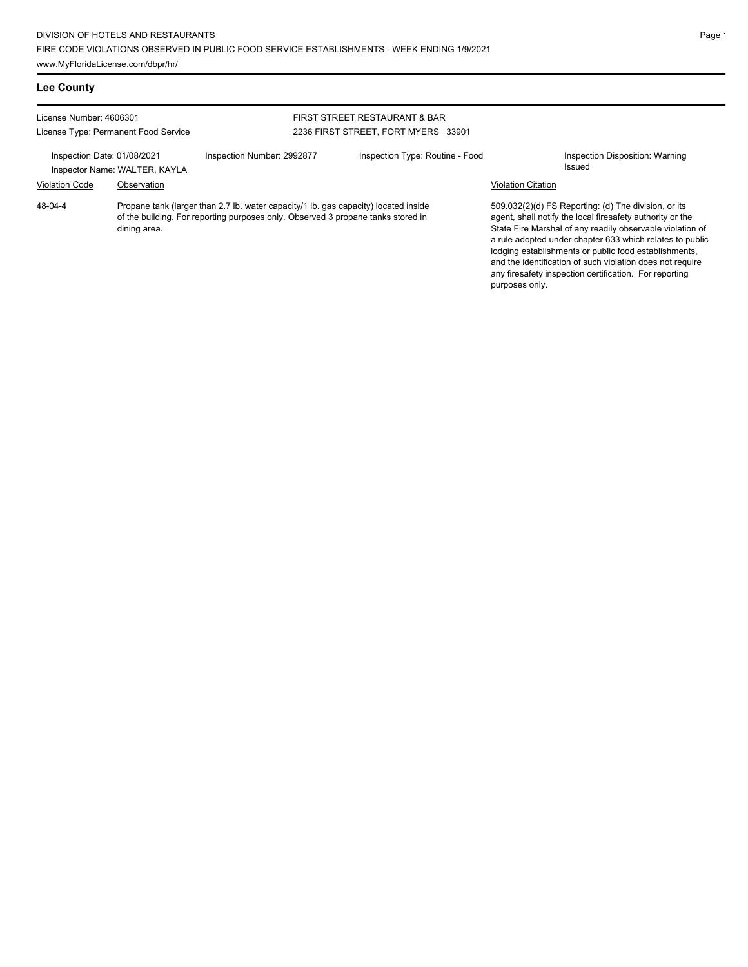## **Lee County**

| License Number: 4606301<br>License Type: Permanent Food Service |              |                                                                                                                                                                         | FIRST STREET RESTAURANT & BAR<br>2236 FIRST STREET, FORT MYERS 33901 |                           |                                                                                                                                                                                                                                                                                                                                                                                                                            |
|-----------------------------------------------------------------|--------------|-------------------------------------------------------------------------------------------------------------------------------------------------------------------------|----------------------------------------------------------------------|---------------------------|----------------------------------------------------------------------------------------------------------------------------------------------------------------------------------------------------------------------------------------------------------------------------------------------------------------------------------------------------------------------------------------------------------------------------|
| Inspection Date: 01/08/2021<br>Inspector Name: WALTER, KAYLA    |              | Inspection Number: 2992877                                                                                                                                              | Inspection Type: Routine - Food                                      |                           | Inspection Disposition: Warning<br>Issued                                                                                                                                                                                                                                                                                                                                                                                  |
| <b>Violation Code</b>                                           | Observation  |                                                                                                                                                                         |                                                                      | <b>Violation Citation</b> |                                                                                                                                                                                                                                                                                                                                                                                                                            |
| 48-04-4                                                         | dining area. | Propane tank (larger than 2.7 lb. water capacity/1 lb. gas capacity) located inside<br>of the building. For reporting purposes only. Observed 3 propane tanks stored in |                                                                      |                           | 509.032(2)(d) FS Reporting: (d) The division, or its<br>agent, shall notify the local firesafety authority or the<br>State Fire Marshal of any readily observable violation of<br>a rule adopted under chapter 633 which relates to public<br>lodging establishments or public food establishments,<br>and the identification of such violation does not require<br>any firesafety inspection certification. For reporting |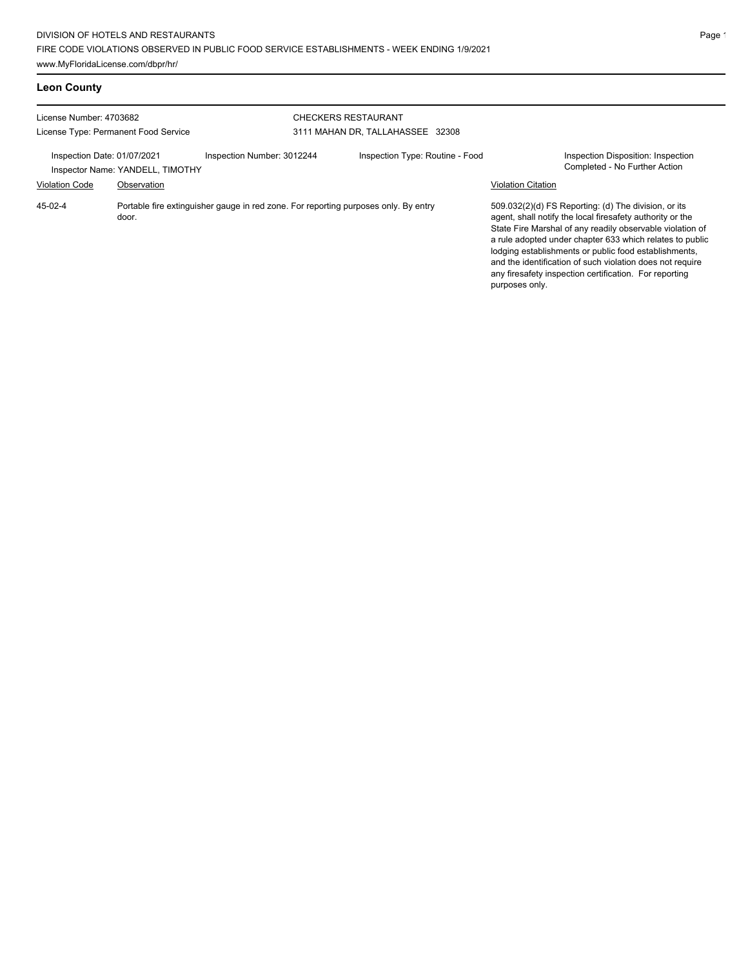## **Leon County**

| License Number: 4703682<br>License Type: Permanent Food Service |                                                                                              | <b>CHECKERS RESTAURANT</b> | 3111 MAHAN DR, TALLAHASSEE 32308 |                                 |                           |                                                                                                                                                                                                                                                                                                                                                                                                                            |
|-----------------------------------------------------------------|----------------------------------------------------------------------------------------------|----------------------------|----------------------------------|---------------------------------|---------------------------|----------------------------------------------------------------------------------------------------------------------------------------------------------------------------------------------------------------------------------------------------------------------------------------------------------------------------------------------------------------------------------------------------------------------------|
| Inspection Date: 01/07/2021                                     | Inspector Name: YANDELL, TIMOTHY                                                             | Inspection Number: 3012244 |                                  | Inspection Type: Routine - Food |                           | Inspection Disposition: Inspection<br>Completed - No Further Action                                                                                                                                                                                                                                                                                                                                                        |
| <b>Violation Code</b>                                           | Observation                                                                                  |                            |                                  |                                 | <b>Violation Citation</b> |                                                                                                                                                                                                                                                                                                                                                                                                                            |
| 45-02-4                                                         | Portable fire extinguisher gauge in red zone. For reporting purposes only. By entry<br>door. |                            |                                  |                                 |                           | 509.032(2)(d) FS Reporting: (d) The division, or its<br>agent, shall notify the local firesafety authority or the<br>State Fire Marshal of any readily observable violation of<br>a rule adopted under chapter 633 which relates to public<br>lodging establishments or public food establishments,<br>and the identification of such violation does not require<br>any firesafety inspection certification. For reporting |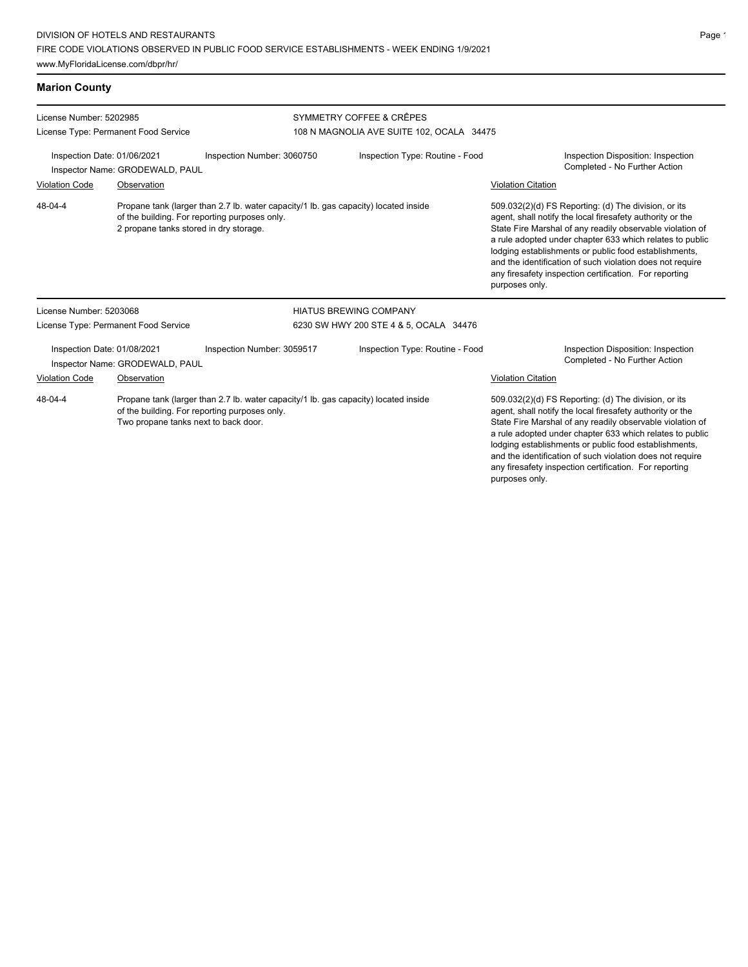### **Marion County**

| License Number: 5202985                                                                                                                                                                 |                                      |                                                                                                                                                                                | SYMMETRY COFFEE & CRÊPES                  |                                                                                                                                                                                                                                                                                                                                                                                                                                              |  |  |
|-----------------------------------------------------------------------------------------------------------------------------------------------------------------------------------------|--------------------------------------|--------------------------------------------------------------------------------------------------------------------------------------------------------------------------------|-------------------------------------------|----------------------------------------------------------------------------------------------------------------------------------------------------------------------------------------------------------------------------------------------------------------------------------------------------------------------------------------------------------------------------------------------------------------------------------------------|--|--|
|                                                                                                                                                                                         | License Type: Permanent Food Service |                                                                                                                                                                                | 108 N MAGNOLIA AVE SUITE 102, OCALA 34475 |                                                                                                                                                                                                                                                                                                                                                                                                                                              |  |  |
| Inspection Date: 01/06/2021<br>Inspector Name: GRODEWALD, PAUL                                                                                                                          |                                      | Inspection Number: 3060750                                                                                                                                                     | Inspection Type: Routine - Food           | Inspection Disposition: Inspection<br>Completed - No Further Action                                                                                                                                                                                                                                                                                                                                                                          |  |  |
| <b>Violation Code</b>                                                                                                                                                                   | Observation                          |                                                                                                                                                                                |                                           | <b>Violation Citation</b>                                                                                                                                                                                                                                                                                                                                                                                                                    |  |  |
| 48-04-4                                                                                                                                                                                 |                                      | Propane tank (larger than 2.7 lb. water capacity/1 lb. gas capacity) located inside<br>of the building. For reporting purposes only.<br>2 propane tanks stored in dry storage. |                                           | 509.032(2)(d) FS Reporting: (d) The division, or its<br>agent, shall notify the local firesafety authority or the<br>State Fire Marshal of any readily observable violation of<br>a rule adopted under chapter 633 which relates to public<br>lodging establishments or public food establishments,<br>and the identification of such violation does not require<br>any firesafety inspection certification. For reporting<br>purposes only. |  |  |
| License Number: 5203068                                                                                                                                                                 |                                      |                                                                                                                                                                                | <b>HIATUS BREWING COMPANY</b>             |                                                                                                                                                                                                                                                                                                                                                                                                                                              |  |  |
| License Type: Permanent Food Service                                                                                                                                                    |                                      |                                                                                                                                                                                | 6230 SW HWY 200 STE 4 & 5, OCALA 34476    |                                                                                                                                                                                                                                                                                                                                                                                                                                              |  |  |
| Inspection Date: 01/08/2021<br>Inspector Name: GRODEWALD, PAUL                                                                                                                          |                                      | Inspection Number: 3059517                                                                                                                                                     | Inspection Type: Routine - Food           | Inspection Disposition: Inspection<br>Completed - No Further Action                                                                                                                                                                                                                                                                                                                                                                          |  |  |
| <b>Violation Code</b>                                                                                                                                                                   | Observation                          |                                                                                                                                                                                |                                           | <b>Violation Citation</b>                                                                                                                                                                                                                                                                                                                                                                                                                    |  |  |
| 48-04-4<br>Propane tank (larger than 2.7 lb. water capacity/1 lb. gas capacity) located inside<br>of the building. For reporting purposes only.<br>Two propane tanks next to back door. |                                      |                                                                                                                                                                                |                                           | 509.032(2)(d) FS Reporting: (d) The division, or its<br>agent, shall notify the local firesafety authority or the<br>State Fire Marshal of any readily observable violation of<br>a rule adopted under chapter 633 which relates to public<br>lodging establishments or public food establishments,<br>and the identification of such violation does not require<br>any firesafety inspection certification. For reporting<br>purposes only. |  |  |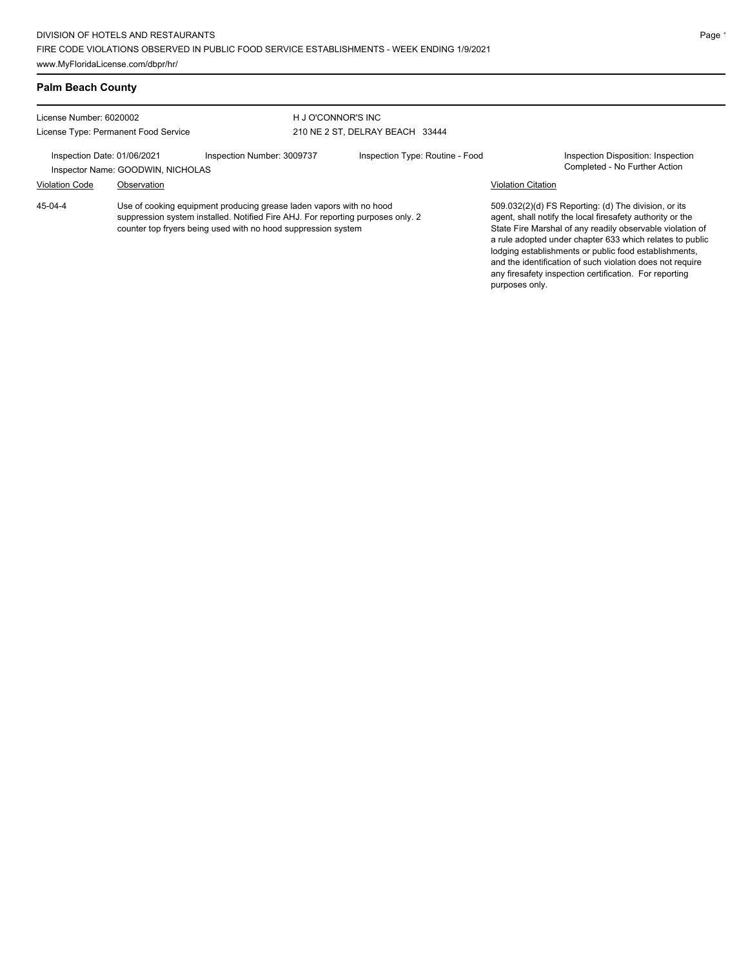### **Palm Beach County**

| License Number: 6020002                                          |             | H J O'CONNOR'S INC                                                                                                                                                                                                      |                                 |                           |                                                                                                                                                                                                                                                                                                                                                                                                                            |
|------------------------------------------------------------------|-------------|-------------------------------------------------------------------------------------------------------------------------------------------------------------------------------------------------------------------------|---------------------------------|---------------------------|----------------------------------------------------------------------------------------------------------------------------------------------------------------------------------------------------------------------------------------------------------------------------------------------------------------------------------------------------------------------------------------------------------------------------|
| License Type: Permanent Food Service                             |             |                                                                                                                                                                                                                         | 210 NE 2 ST, DELRAY BEACH 33444 |                           |                                                                                                                                                                                                                                                                                                                                                                                                                            |
| Inspection Date: 01/06/2021<br>Inspector Name: GOODWIN, NICHOLAS |             | Inspection Number: 3009737<br>Inspection Type: Routine - Food                                                                                                                                                           |                                 |                           | Inspection Disposition: Inspection<br>Completed - No Further Action                                                                                                                                                                                                                                                                                                                                                        |
| <b>Violation Code</b>                                            | Observation |                                                                                                                                                                                                                         |                                 | <b>Violation Citation</b> |                                                                                                                                                                                                                                                                                                                                                                                                                            |
| 45-04-4                                                          |             | Use of cooking equipment producing grease laden vapors with no hood<br>suppression system installed. Notified Fire AHJ. For reporting purposes only. 2<br>counter top fryers being used with no hood suppression system |                                 | purposes only.            | 509.032(2)(d) FS Reporting: (d) The division, or its<br>agent, shall notify the local firesafety authority or the<br>State Fire Marshal of any readily observable violation of<br>a rule adopted under chapter 633 which relates to public<br>lodging establishments or public food establishments,<br>and the identification of such violation does not require<br>any firesafety inspection certification. For reporting |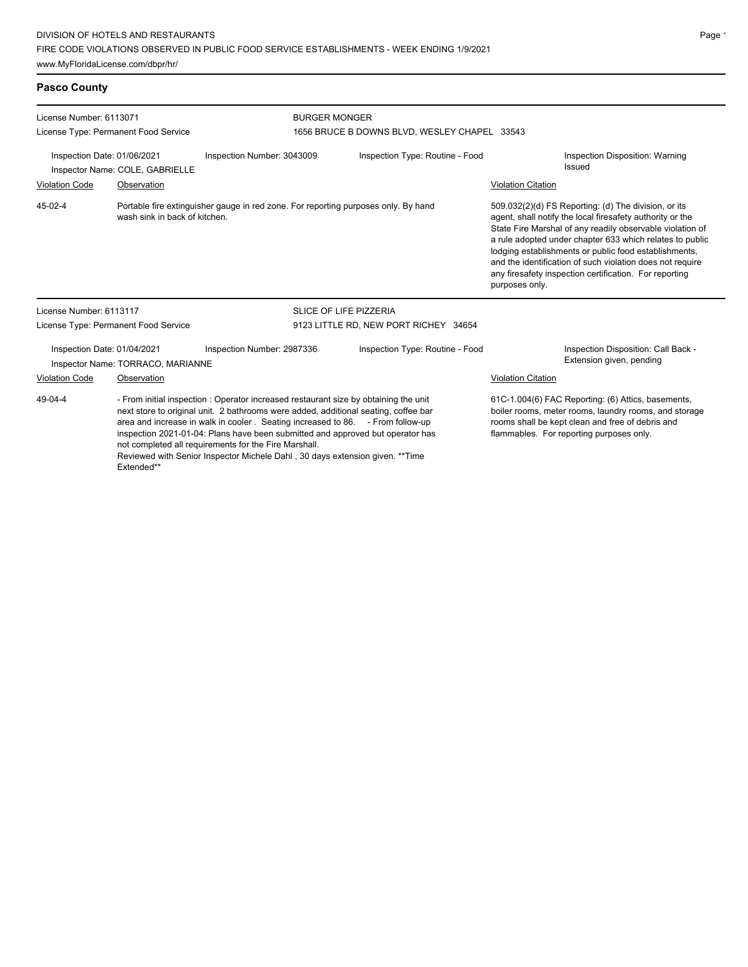## **Pasco County**

| License Number: 6113071<br>License Type: Permanent Food Service                                                                                                                                                                                                                                                                                                                                                                                                                                                   |                               |                                                                                    | <b>BURGER MONGER</b><br>1656 BRUCE B DOWNS BLVD, WESLEY CHAPEL 33543 |  |                                                                                                                                                                                                                                                                                                                                                                                                                                              |                                                                                                                                                                                                             |
|-------------------------------------------------------------------------------------------------------------------------------------------------------------------------------------------------------------------------------------------------------------------------------------------------------------------------------------------------------------------------------------------------------------------------------------------------------------------------------------------------------------------|-------------------------------|------------------------------------------------------------------------------------|----------------------------------------------------------------------|--|----------------------------------------------------------------------------------------------------------------------------------------------------------------------------------------------------------------------------------------------------------------------------------------------------------------------------------------------------------------------------------------------------------------------------------------------|-------------------------------------------------------------------------------------------------------------------------------------------------------------------------------------------------------------|
| Inspection Date: 01/06/2021<br>Inspector Name: COLE, GABRIELLE                                                                                                                                                                                                                                                                                                                                                                                                                                                    |                               | Inspection Number: 3043009                                                         | Inspection Type: Routine - Food                                      |  |                                                                                                                                                                                                                                                                                                                                                                                                                                              | Inspection Disposition: Warning<br><b>Issued</b>                                                                                                                                                            |
| <b>Violation Code</b>                                                                                                                                                                                                                                                                                                                                                                                                                                                                                             | Observation                   |                                                                                    |                                                                      |  | <b>Violation Citation</b>                                                                                                                                                                                                                                                                                                                                                                                                                    |                                                                                                                                                                                                             |
| 45-02-4                                                                                                                                                                                                                                                                                                                                                                                                                                                                                                           | wash sink in back of kitchen. | Portable fire extinguisher gauge in red zone. For reporting purposes only. By hand |                                                                      |  | 509.032(2)(d) FS Reporting: (d) The division, or its<br>agent, shall notify the local firesafety authority or the<br>State Fire Marshal of any readily observable violation of<br>a rule adopted under chapter 633 which relates to public<br>lodging establishments or public food establishments,<br>and the identification of such violation does not require<br>any firesafety inspection certification. For reporting<br>purposes only. |                                                                                                                                                                                                             |
| License Number: 6113117                                                                                                                                                                                                                                                                                                                                                                                                                                                                                           |                               |                                                                                    | <b>SLICE OF LIFE PIZZERIA</b>                                        |  |                                                                                                                                                                                                                                                                                                                                                                                                                                              |                                                                                                                                                                                                             |
| License Type: Permanent Food Service                                                                                                                                                                                                                                                                                                                                                                                                                                                                              |                               |                                                                                    | 9123 LITTLE RD, NEW PORT RICHEY 34654                                |  |                                                                                                                                                                                                                                                                                                                                                                                                                                              |                                                                                                                                                                                                             |
| Inspection Date: 01/04/2021<br>Inspector Name: TORRACO, MARIANNE                                                                                                                                                                                                                                                                                                                                                                                                                                                  |                               | Inspection Number: 2987336                                                         | Inspection Type: Routine - Food                                      |  |                                                                                                                                                                                                                                                                                                                                                                                                                                              | Inspection Disposition: Call Back -<br>Extension given, pending                                                                                                                                             |
| <b>Violation Code</b>                                                                                                                                                                                                                                                                                                                                                                                                                                                                                             | Observation                   |                                                                                    |                                                                      |  | Violation Citation                                                                                                                                                                                                                                                                                                                                                                                                                           |                                                                                                                                                                                                             |
| 49-04-4<br>- From initial inspection : Operator increased restaurant size by obtaining the unit<br>next store to original unit. 2 bathrooms were added, additional seating, coffee bar<br>area and increase in walk in cooler. Seating increased to 86. - From follow-up<br>inspection 2021-01-04: Plans have been submitted and approved but operator has<br>not completed all requirements for the Fire Marshall.<br>Reviewed with Senior Inspector Michele Dahl, 30 days extension given. **Time<br>Extended** |                               |                                                                                    |                                                                      |  |                                                                                                                                                                                                                                                                                                                                                                                                                                              | 61C-1.004(6) FAC Reporting: (6) Attics, basements,<br>boiler rooms, meter rooms, laundry rooms, and storage<br>rooms shall be kept clean and free of debris and<br>flammables. For reporting purposes only. |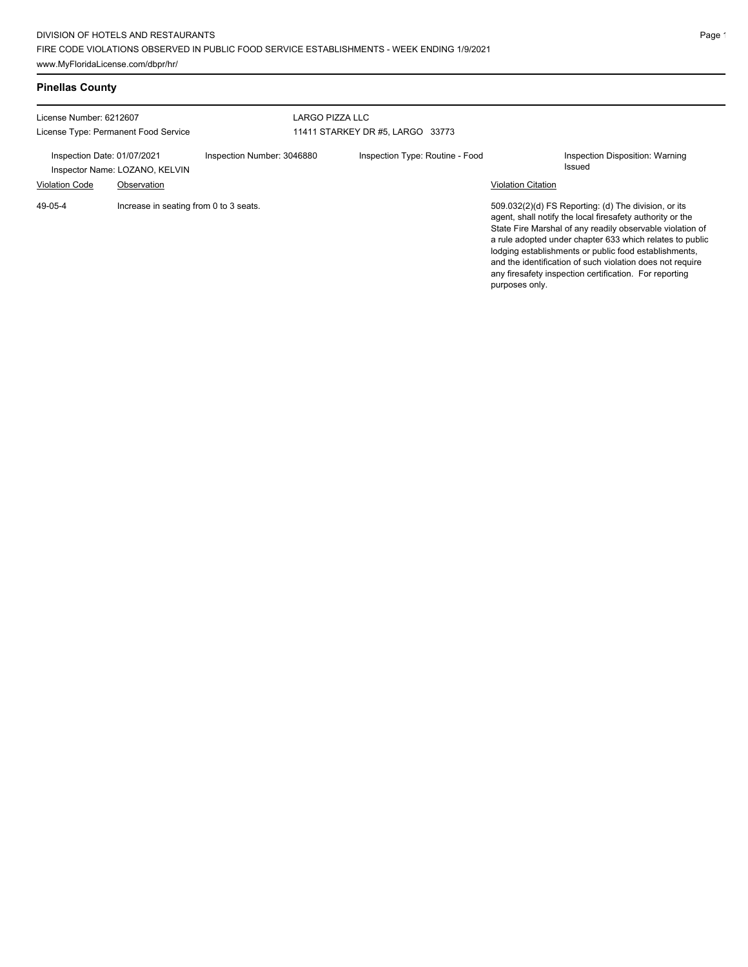# **Pinellas County**

| License Number: 6212607<br>License Type: Permanent Food Service                                       |                                        | LARGO PIZZA LLC<br>11411 STARKEY DR #5, LARGO 33773           |  |                           |                                                                                                                                                                                                                                                                                                                                                                                                                            |
|-------------------------------------------------------------------------------------------------------|----------------------------------------|---------------------------------------------------------------|--|---------------------------|----------------------------------------------------------------------------------------------------------------------------------------------------------------------------------------------------------------------------------------------------------------------------------------------------------------------------------------------------------------------------------------------------------------------------|
| Inspection Date: 01/07/2021<br>Inspector Name: LOZANO, KELVIN<br><b>Violation Code</b><br>Observation |                                        | Inspection Number: 3046880<br>Inspection Type: Routine - Food |  | <b>Violation Citation</b> | Inspection Disposition: Warning<br><b>Issued</b>                                                                                                                                                                                                                                                                                                                                                                           |
| 49-05-4                                                                                               | Increase in seating from 0 to 3 seats. |                                                               |  | purposes only.            | 509.032(2)(d) FS Reporting: (d) The division, or its<br>agent, shall notify the local firesafety authority or the<br>State Fire Marshal of any readily observable violation of<br>a rule adopted under chapter 633 which relates to public<br>lodging establishments or public food establishments,<br>and the identification of such violation does not require<br>any firesafety inspection certification. For reporting |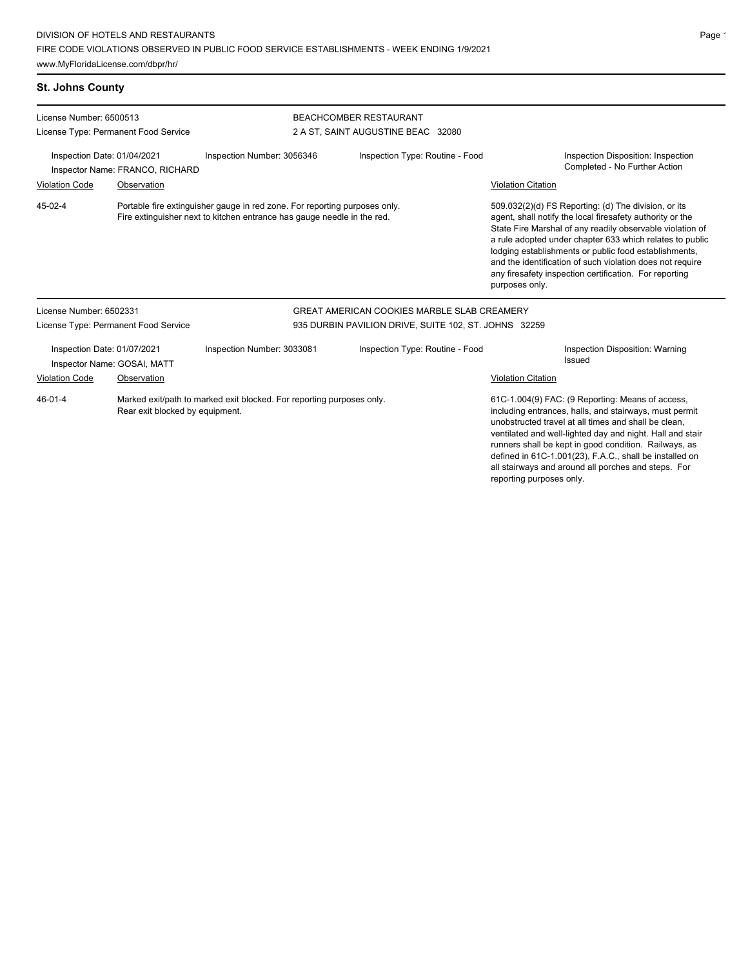## **St. Johns County**

| License Number: 6500513                                                                                                   |                                 |                                                                                                                                                       | <b>BEACHCOMBER RESTAURANT</b><br>2 A ST, SAINT AUGUSTINE BEAC 32080 |                                                                                                                                                                                                                                                                                                                                                                                                                                              |  |  |
|---------------------------------------------------------------------------------------------------------------------------|---------------------------------|-------------------------------------------------------------------------------------------------------------------------------------------------------|---------------------------------------------------------------------|----------------------------------------------------------------------------------------------------------------------------------------------------------------------------------------------------------------------------------------------------------------------------------------------------------------------------------------------------------------------------------------------------------------------------------------------|--|--|
| License Type: Permanent Food Service<br>Inspection Date: 01/04/2021                                                       |                                 | Inspection Number: 3056346                                                                                                                            | Inspection Type: Routine - Food                                     | Inspection Disposition: Inspection                                                                                                                                                                                                                                                                                                                                                                                                           |  |  |
|                                                                                                                           | Inspector Name: FRANCO, RICHARD |                                                                                                                                                       |                                                                     | Completed - No Further Action                                                                                                                                                                                                                                                                                                                                                                                                                |  |  |
| <b>Violation Code</b>                                                                                                     | Observation                     |                                                                                                                                                       |                                                                     | <b>Violation Citation</b>                                                                                                                                                                                                                                                                                                                                                                                                                    |  |  |
| 45-02-4                                                                                                                   |                                 | Portable fire extinguisher gauge in red zone. For reporting purposes only.<br>Fire extinguisher next to kitchen entrance has gauge needle in the red. |                                                                     | 509.032(2)(d) FS Reporting: (d) The division, or its<br>agent, shall notify the local firesafety authority or the<br>State Fire Marshal of any readily observable violation of<br>a rule adopted under chapter 633 which relates to public<br>lodging establishments or public food establishments,<br>and the identification of such violation does not require<br>any firesafety inspection certification. For reporting<br>purposes only. |  |  |
| License Number: 6502331                                                                                                   |                                 |                                                                                                                                                       | <b>GREAT AMERICAN COOKIES MARBLE SLAB CREAMERY</b>                  |                                                                                                                                                                                                                                                                                                                                                                                                                                              |  |  |
| License Type: Permanent Food Service                                                                                      |                                 |                                                                                                                                                       | 935 DURBIN PAVILION DRIVE, SUITE 102, ST. JOHNS 32259               |                                                                                                                                                                                                                                                                                                                                                                                                                                              |  |  |
| Inspection Date: 01/07/2021<br>Inspector Name: GOSAI, MATT                                                                |                                 | Inspection Number: 3033081                                                                                                                            | Inspection Type: Routine - Food                                     | Inspection Disposition: Warning<br><b>Issued</b>                                                                                                                                                                                                                                                                                                                                                                                             |  |  |
| Violation Code                                                                                                            | Observation                     |                                                                                                                                                       |                                                                     | <b>Violation Citation</b>                                                                                                                                                                                                                                                                                                                                                                                                                    |  |  |
| $46 - 01 - 4$<br>Marked exit/path to marked exit blocked. For reporting purposes only.<br>Rear exit blocked by equipment. |                                 |                                                                                                                                                       |                                                                     | 61C-1.004(9) FAC: (9 Reporting: Means of access,<br>including entrances, halls, and stairways, must permit<br>unobstructed travel at all times and shall be clean.<br>ventilated and well-lighted day and night. Hall and stair<br>runners shall be kept in good condition. Railways, as<br>defined in 61C-1.001(23), F.A.C., shall be installed on<br>all stairways and around all porches and steps. For                                   |  |  |

reporting purposes only.